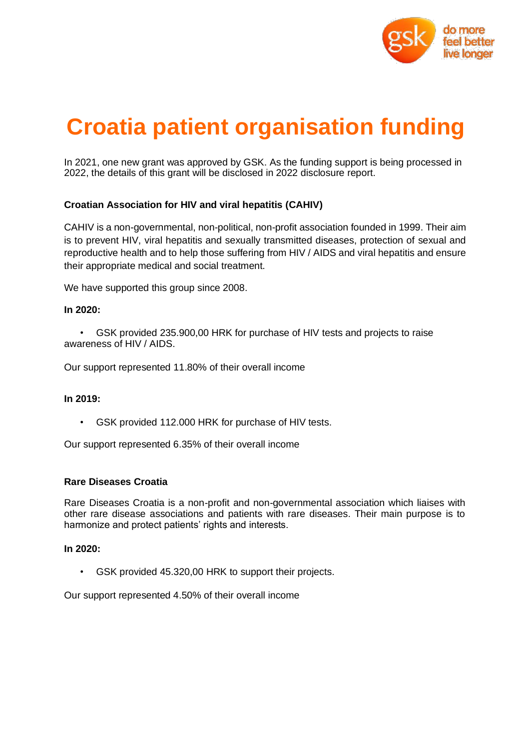

# **Croatia patient organisation funding**

In 2021, one new grant was approved by GSK. As the funding support is being processed in 2022, the details of this grant will be disclosed in 2022 disclosure report.

# **Croatian Association for HIV and viral hepatitis (CAHIV)**

CAHIV is a non-governmental, non-political, non-profit association founded in 1999. Their aim is to prevent HIV, viral hepatitis and sexually transmitted diseases, protection of sexual and reproductive health and to help those suffering from HIV / AIDS and viral hepatitis and ensure their appropriate medical and social treatment.

We have supported this group since 2008.

### **In 2020:**

• GSK provided 235.900,00 HRK for purchase of HIV tests and projects to raise awareness of HIV / AIDS.

Our support represented 11.80% of their overall income

#### **In 2019:**

• GSK provided 112.000 HRK for purchase of HIV tests.

Our support represented 6.35% of their overall income

#### **Rare Diseases Croatia**

Rare Diseases Croatia is a non-profit and non-governmental association which liaises with other rare disease associations and patients with rare diseases. Their main purpose is to harmonize and protect patients' rights and interests.

#### **In 2020:**

• GSK provided 45.320,00 HRK to support their projects.

Our support represented 4.50% of their overall income